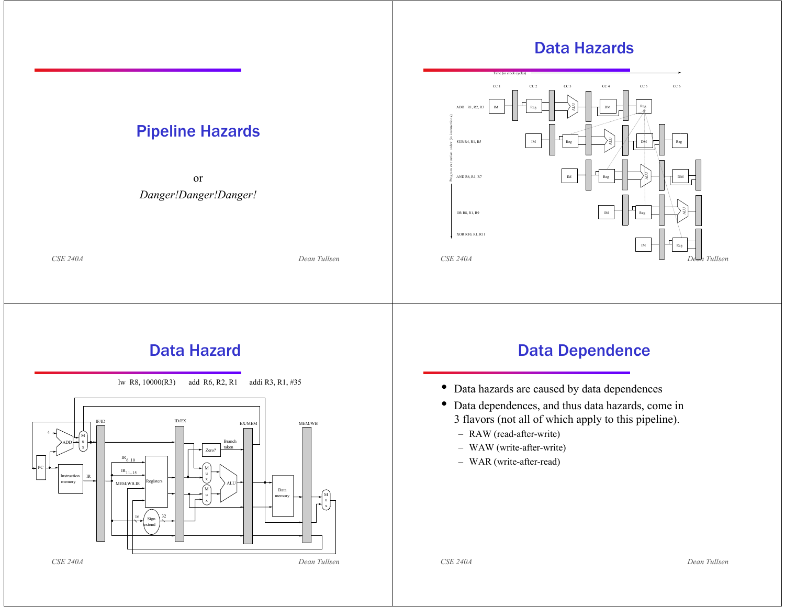#### *CSE 240A Dean Tullsen*Pipeline Hazards or *Danger!Danger!Danger! CSE 240A Dean Tullsen*Data HazardsCC 1 CC 2 CC 3 CC 4 CC 5 CC 6 Time (in clock cycles) ADD R1, R2, R3 Reg DMDMDMSUB R4, R1, R5 AND R6, R1, R7 OR R8, R1, R9 XOR R10, R1, R11 Reg Reg | | | /  $\rightarrow$  /  $\rightarrow$  T DM | | | Reg Reg IMIMIMreg  $|\;\;|\;\;|\;\;|\;\; \rangle$ ALU ALU ALU Reg Program execution order (in instructions) *CSE 240A Dean Tullsen* Data Hazardlw R8, 10000(R3) add R6, R2, R1 addi R3, R1, #35 Datamemory ALUL L Sign extendPCInstructionmemory ADDIF/ID4ID/EXEX/MEM 1  $\rm{IR}_{6..10}$ MEM/WB.IRx۰ uux $IR_{11.15}$ Registers BranchtakenIR6  $\frac{1}{2}$   $\frac{1}{32}$  Zero? *CSE 240A Dean Tullsen* Data Dependence • Data hazards are caused by data dependences • Data dependences, and thus data hazards, come in 3 flavors (not all of which apply to this pipeline). – RAW (read-after-write) – WAW (write-after-write) – WAR (write-after-read)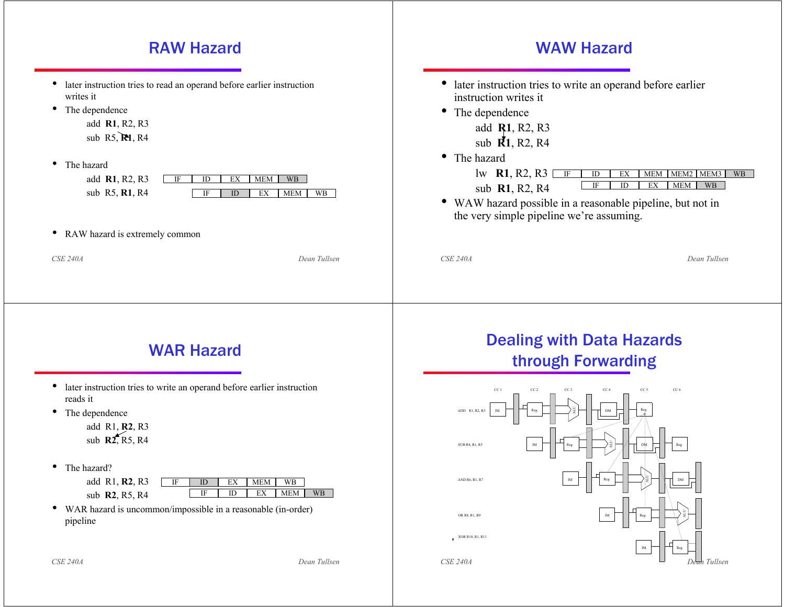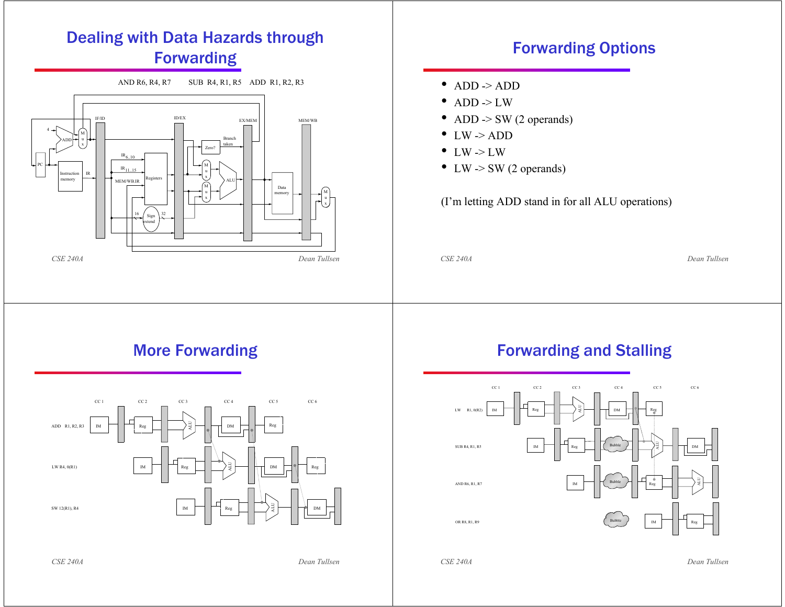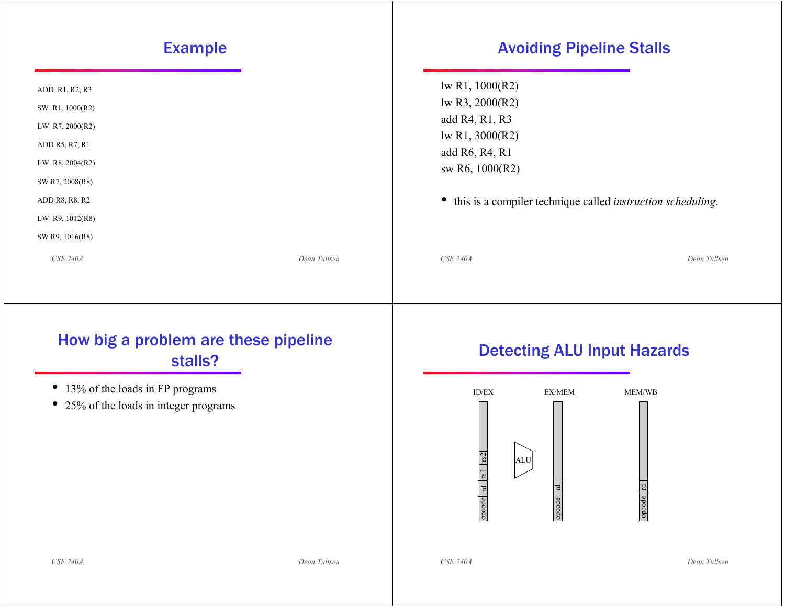#### *CSE 240A Dean Tullsen*Example ADD R1, R2, R3 SW R1, 1000(R2) LW R7, 2000(R2) ADD R5, R7, R1 LW R8, 2004(R2) SW R7, 2008(R8) ADD R8, R8, R2 LW R9, 1012(R8) SW R9, 1016(R8) *CSE 240A Dean Tullsen*Avoiding Pipeline Stalls lw R1, 1000(R2) lw R3, 2000(R2) add R4, R1, R3 lw R1, 3000(R2) add R6, R4, R1 sw R6, 1000(R2) • this is a compiler technique called *instruction scheduling*. *CSE 240A Dean Tullsen* How big a problem are these pipeline stalls?• 13% of the loads in FP programs • 25% of the loads in integer programs *CSE 240A Dean Tullsen* Detecting ALU Input Hazards ID/EX EX/MEM MEM/WBopcode rd rs1 rd opcode opcode rd  $rac{1}{\sqrt{1 + \frac{1}{\sqrt{2}}}}$  ALU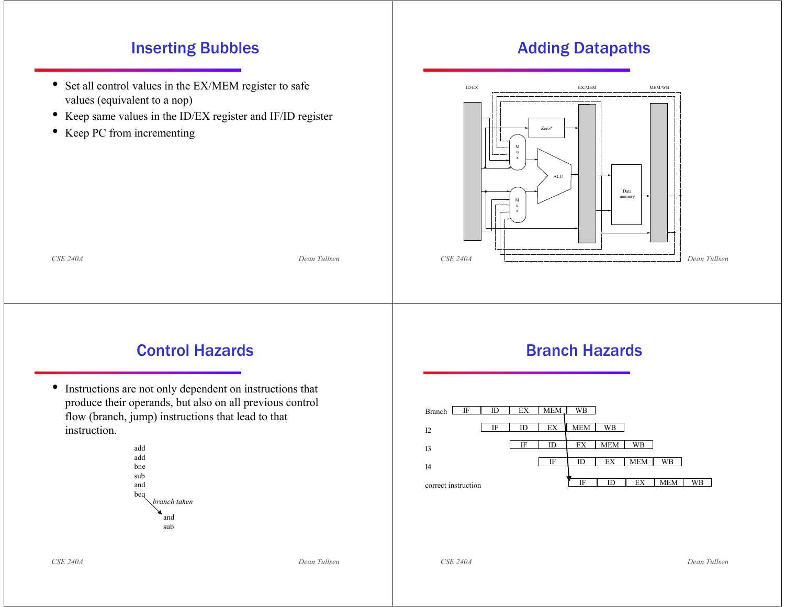### Inserting Bubbles

- Set all control values in the EX/MEM register to safe values (equivalent to a nop)
- Keep same values in the ID/EX register and IF/ID register
- Keep PC from incrementing

### Adding Datapaths



### Control Hazards

*CSE 240A Dean Tullsen*

• Instructions are not only dependent on instructions that produce their operands, but also on all previous control flow (branch, jump) instructions that lead to that instruction.



#### Branch Hazards



*CSE 240A Dean Tullsen*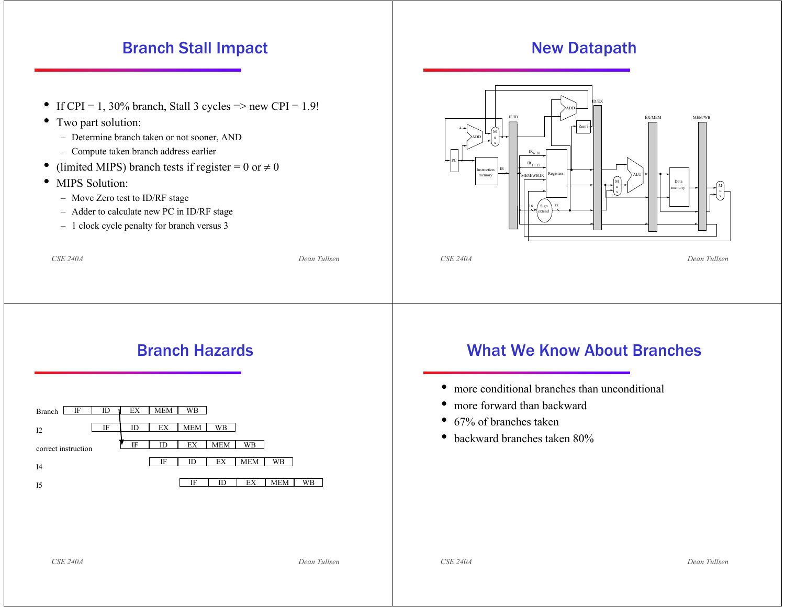### Branch Stall Impact

- If CPI = 1, 30% branch, Stall 3 cycles => new CPI =  $1.9!$
- Two part solution:
	- Determine branch taken or not sooner, AND
	- Compute taken branch address earlier
- •• (limited MIPS) branch tests if register = 0 or  $\neq$  0
- • MIPS Solution:
	- Move Zero test to ID/RF stage
	- Adder to calculate new PC in ID/RF stage
	- 1 clock cycle penalty for branch versus 3





## Branch Hazards

*CSE 240A Dean Tullsen*



## What We Know About Branches

- more conditional branches than unconditional
- $\bullet$ more forward than backward
- 67% of branches taken
- backward branches taken 80%